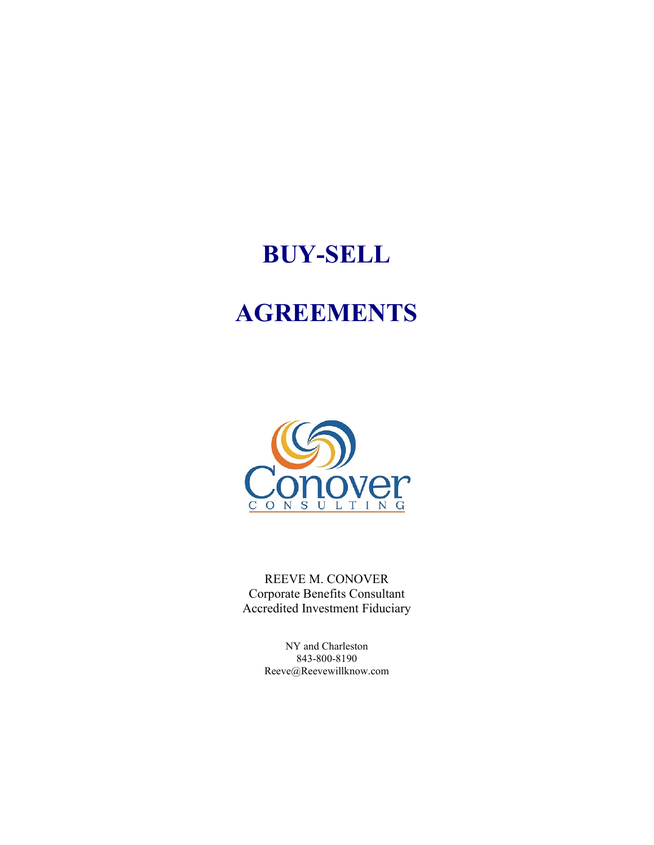# **BUY-SELL**

# **AGREEMENTS**



REEVE M. CONOVER Corporate Benefits Consultant Accredited Investment Fiduciary

> NY and Charleston 843-800-8190 Reeve@Reevewillknow.com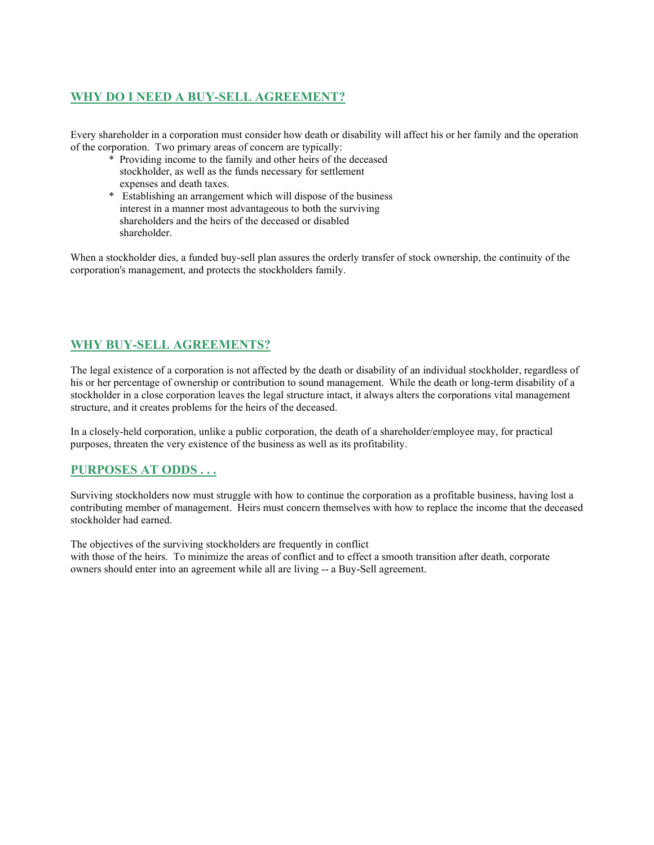## **WHY DO I NEED A BUY-SELL AGREEMENT?**

Every shareholder in a corporation must consider how death or disability will affect his or her family and the operation of the corporation. Two primary areas of concern are typically:

- \* Providing income to the family and other heirs of the deceased stockholder, as well as the funds necessary for settlement expenses and death taxes.
- \* Establishing an arrangement which will dispose of the business interest in a manner most advantageous to both the surviving shareholders and the heirs of the deceased or disabled shareholder.

When a stockholder dies, a funded buy-sell plan assures the orderly transfer of stock ownership, the continuity of the corporation's management, and protects the stockholders family.

## **WHY BUY-SELL AGREEMENTS?**

The legal existence of a corporation is not affected by the death or disability of an individual stockholder, regardless of his or her percentage of ownership or contribution to sound management. While the death or long-term disability of a stockholder in a close corporation leaves the legal structure intact, it always alters the corporations vital management structure, and it creates problems for the heirs of the deceased.

In a closely-held corporation, unlike a public corporation, the death of a shareholder/employee may, for practical purposes, threaten the very existence of the business as well as its profitability.

## **PURPOSES AT ODDS . . .**

Surviving stockholders now must struggle with how to continue the corporation as a profitable business, having lost a contributing member of management. Heirs must concern themselves with how to replace the income that the deceased stockholder had earned.

The objectives of the surviving stockholders are frequently in conflict with those of the heirs. To minimize the areas of conflict and to effect a smooth transition after death, corporate owners should enter into an agreement while all are living -- a Buy-Sell agreement.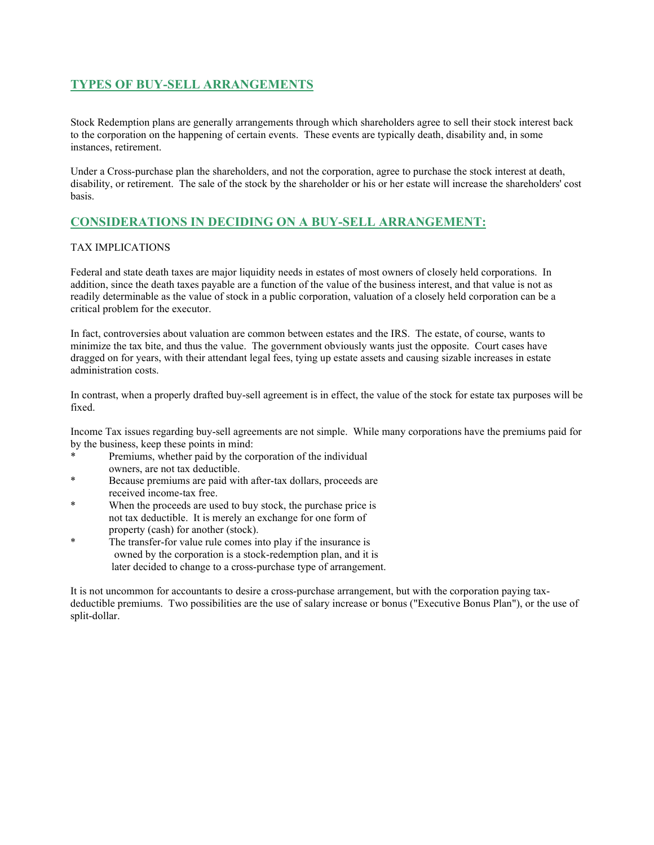### **TYPES OF BUY-SELL ARRANGEMENTS**

Stock Redemption plans are generally arrangements through which shareholders agree to sell their stock interest back to the corporation on the happening of certain events. These events are typically death, disability and, in some instances, retirement.

Under a Cross-purchase plan the shareholders, and not the corporation, agree to purchase the stock interest at death, disability, or retirement. The sale of the stock by the shareholder or his or her estate will increase the shareholders' cost basis.

### **CONSIDERATIONS IN DECIDING ON A BUY-SELL ARRANGEMENT:**

#### TAX IMPLICATIONS

Federal and state death taxes are major liquidity needs in estates of most owners of closely held corporations. In addition, since the death taxes payable are a function of the value of the business interest, and that value is not as readily determinable as the value of stock in a public corporation, valuation of a closely held corporation can be a critical problem for the executor.

In fact, controversies about valuation are common between estates and the IRS. The estate, of course, wants to minimize the tax bite, and thus the value. The government obviously wants just the opposite. Court cases have dragged on for years, with their attendant legal fees, tying up estate assets and causing sizable increases in estate administration costs.

In contrast, when a properly drafted buy-sell agreement is in effect, the value of the stock for estate tax purposes will be fixed.

Income Tax issues regarding buy-sell agreements are not simple. While many corporations have the premiums paid for by the business, keep these points in mind:

- Premiums, whether paid by the corporation of the individual owners, are not tax deductible.
- Because premiums are paid with after-tax dollars, proceeds are received income-tax free.
- When the proceeds are used to buy stock, the purchase price is not tax deductible. It is merely an exchange for one form of property (cash) for another (stock).
- The transfer-for value rule comes into play if the insurance is owned by the corporation is a stock-redemption plan, and it is later decided to change to a cross-purchase type of arrangement.

It is not uncommon for accountants to desire a cross-purchase arrangement, but with the corporation paying taxdeductible premiums. Two possibilities are the use of salary increase or bonus ("Executive Bonus Plan"), or the use of split-dollar.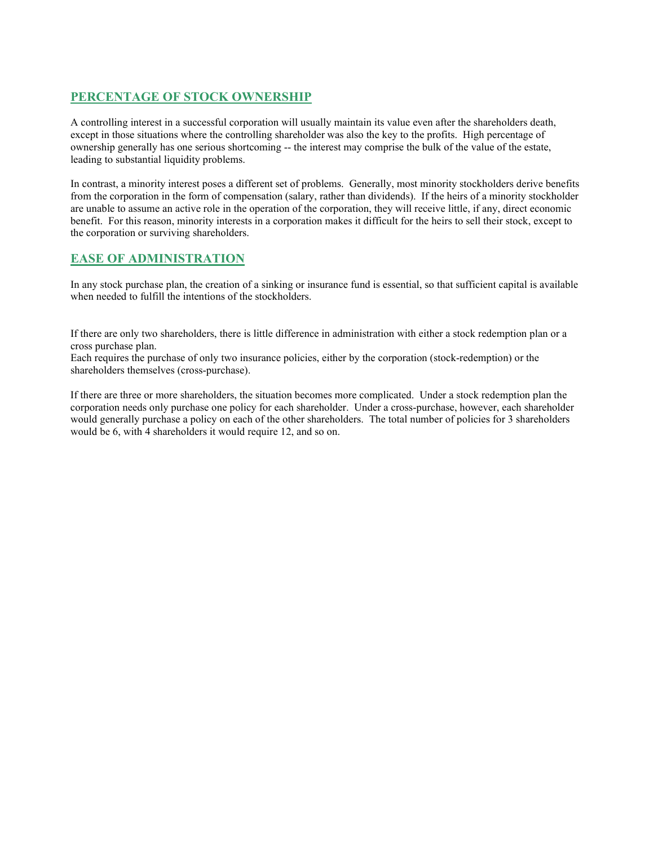## **PERCENTAGE OF STOCK OWNERSHIP**

A controlling interest in a successful corporation will usually maintain its value even after the shareholders death, except in those situations where the controlling shareholder was also the key to the profits. High percentage of ownership generally has one serious shortcoming -- the interest may comprise the bulk of the value of the estate, leading to substantial liquidity problems.

In contrast, a minority interest poses a different set of problems. Generally, most minority stockholders derive benefits from the corporation in the form of compensation (salary, rather than dividends). If the heirs of a minority stockholder are unable to assume an active role in the operation of the corporation, they will receive little, if any, direct economic benefit. For this reason, minority interests in a corporation makes it difficult for the heirs to sell their stock, except to the corporation or surviving shareholders.

## **EASE OF ADMINISTRATION**

In any stock purchase plan, the creation of a sinking or insurance fund is essential, so that sufficient capital is available when needed to fulfill the intentions of the stockholders.

If there are only two shareholders, there is little difference in administration with either a stock redemption plan or a cross purchase plan.

Each requires the purchase of only two insurance policies, either by the corporation (stock-redemption) or the shareholders themselves (cross-purchase).

If there are three or more shareholders, the situation becomes more complicated. Under a stock redemption plan the corporation needs only purchase one policy for each shareholder. Under a cross-purchase, however, each shareholder would generally purchase a policy on each of the other shareholders. The total number of policies for 3 shareholders would be 6, with 4 shareholders it would require 12, and so on.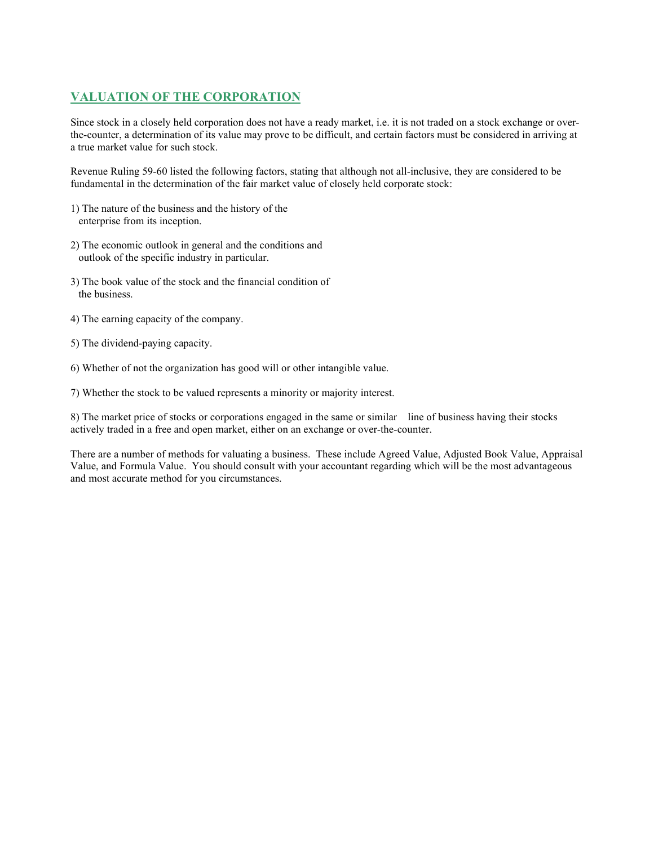## **VALUATION OF THE CORPORATION**

Since stock in a closely held corporation does not have a ready market, i.e. it is not traded on a stock exchange or overthe-counter, a determination of its value may prove to be difficult, and certain factors must be considered in arriving at a true market value for such stock.

Revenue Ruling 59-60 listed the following factors, stating that although not all-inclusive, they are considered to be fundamental in the determination of the fair market value of closely held corporate stock:

- 1) The nature of the business and the history of the enterprise from its inception.
- 2) The economic outlook in general and the conditions and outlook of the specific industry in particular.
- 3) The book value of the stock and the financial condition of the business.
- 4) The earning capacity of the company.
- 5) The dividend-paying capacity.
- 6) Whether of not the organization has good will or other intangible value.
- 7) Whether the stock to be valued represents a minority or majority interest.

8) The market price of stocks or corporations engaged in the same or similar line of business having their stocks actively traded in a free and open market, either on an exchange or over-the-counter.

There are a number of methods for valuating a business. These include Agreed Value, Adjusted Book Value, Appraisal Value, and Formula Value. You should consult with your accountant regarding which will be the most advantageous and most accurate method for you circumstances.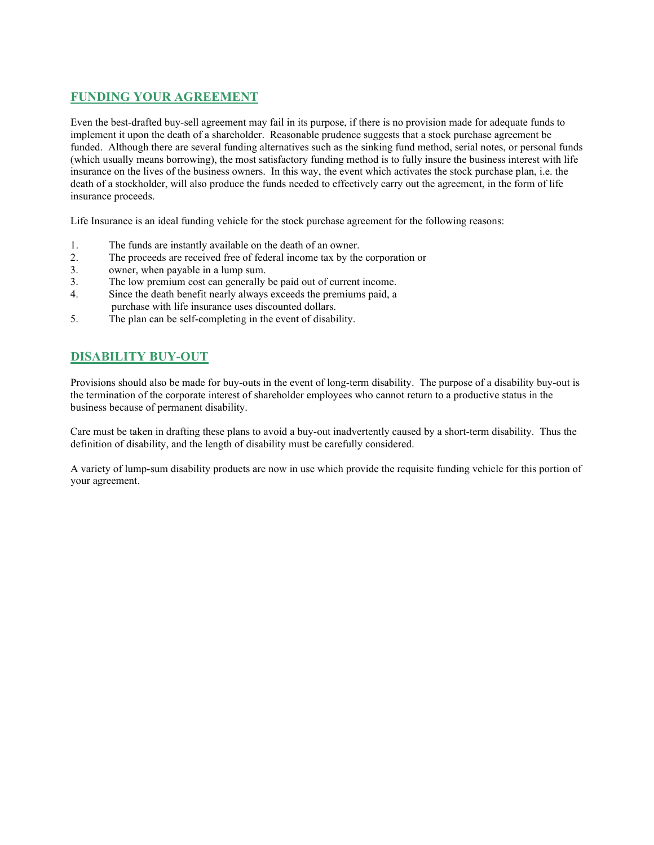## **FUNDING YOUR AGREEMENT**

Even the best-drafted buy-sell agreement may fail in its purpose, if there is no provision made for adequate funds to implement it upon the death of a shareholder. Reasonable prudence suggests that a stock purchase agreement be funded. Although there are several funding alternatives such as the sinking fund method, serial notes, or personal funds (which usually means borrowing), the most satisfactory funding method is to fully insure the business interest with life insurance on the lives of the business owners. In this way, the event which activates the stock purchase plan, i.e. the death of a stockholder, will also produce the funds needed to effectively carry out the agreement, in the form of life insurance proceeds.

Life Insurance is an ideal funding vehicle for the stock purchase agreement for the following reasons:

- 1. The funds are instantly available on the death of an owner.
- 2. The proceeds are received free of federal income tax by the corporation or
- 3. owner, when payable in a lump sum.
- 3. The low premium cost can generally be paid out of current income.
- 4. Since the death benefit nearly always exceeds the premiums paid, a purchase with life insurance uses discounted dollars.
- 5. The plan can be self-completing in the event of disability.

# **DISABILITY BUY-OUT**

Provisions should also be made for buy-outs in the event of long-term disability. The purpose of a disability buy-out is the termination of the corporate interest of shareholder employees who cannot return to a productive status in the business because of permanent disability.

Care must be taken in drafting these plans to avoid a buy-out inadvertently caused by a short-term disability. Thus the definition of disability, and the length of disability must be carefully considered.

A variety of lump-sum disability products are now in use which provide the requisite funding vehicle for this portion of your agreement.